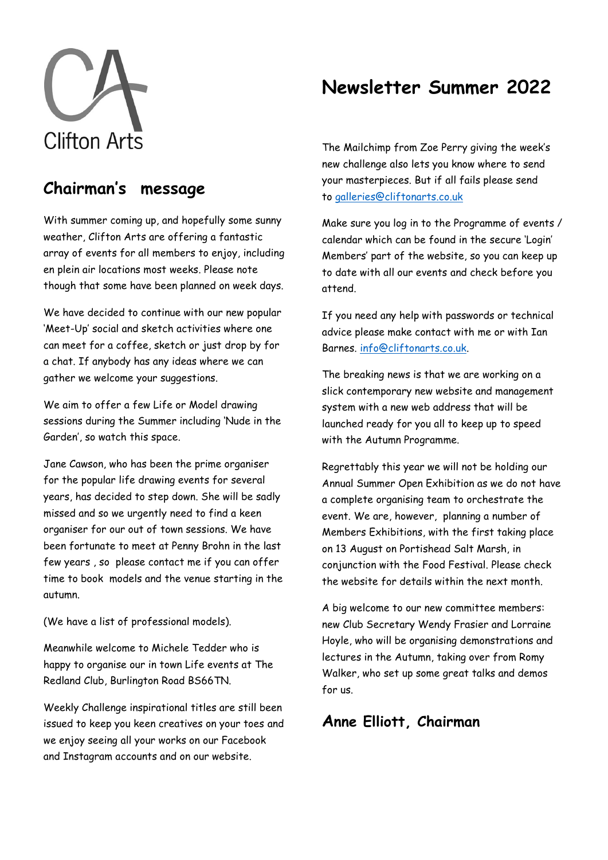

# **Newsletter Summer 2022**

# **Chairman's message**

With summer coming up, and hopefully some sunny weather, Clifton Arts are offering a fantastic array of events for all members to enjoy, including en plein air locations most weeks. Please note though that some have been planned on week days.

We have decided to continue with our new popular 'Meet-Up' social and sketch activities where one can meet for a coffee, sketch or just drop by for a chat. If anybody has any ideas where we can gather we welcome your suggestions.

We aim to offer a few Life or Model drawing sessions during the Summer including 'Nude in the Garden', so watch this space.

Jane Cawson, who has been the prime organiser for the popular life drawing events for several years, has decided to step down. She will be sadly missed and so we urgently need to find a keen organiser for our out of town sessions. We have been fortunate to meet at Penny Brohn in the last few years , so please contact me if you can offer time to book models and the venue starting in the autumn.

(We have a list of professional models).

Meanwhile welcome to Michele Tedder who is happy to organise our in town Life events at The Redland Club, Burlington Road BS66TN.

Weekly Challenge inspirational titles are still been issued to keep you keen creatives on your toes and we enjoy seeing all your works on our Facebook and Instagram accounts and on our website.

The Mailchimp from Zoe Perry giving the week's new challenge also lets you know where to send your masterpieces. But if all fails please send to [galleries@cliftonarts.co.uk](mailto:galleries@cliftonarts.co.uk)

Make sure you log in to the Programme of events / calendar which can be found in the secure 'Login' Members' part of the website, so you can keep up to date with all our events and check before you attend.

If you need any help with passwords or technical advice please make contact with me or with Ian Barnes. [info@cliftonarts.co.uk.](mailto:info@cliftonarts.co.uk)

The breaking news is that we are working on a slick contemporary new website and management system with a new web address that will be launched ready for you all to keep up to speed with the Autumn Programme.

Regrettably this year we will not be holding our Annual Summer Open Exhibition as we do not have a complete organising team to orchestrate the event. We are, however, planning a number of Members Exhibitions, with the first taking place on 13 August on Portishead Salt Marsh, in conjunction with the Food Festival. Please check the website for details within the next month.

A big welcome to our new committee members: new Club Secretary Wendy Frasier and Lorraine Hoyle, who will be organising demonstrations and lectures in the Autumn, taking over from Romy Walker, who set up some great talks and demos for us.

## **Anne Elliott, Chairman**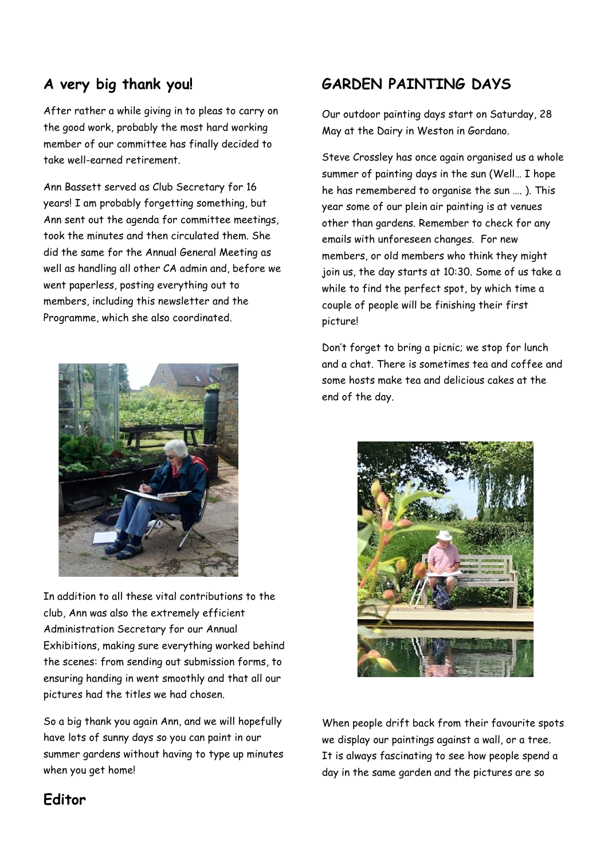### **A very big thank you!**

After rather a while giving in to pleas to carry on the good work, probably the most hard working member of our committee has finally decided to take well-earned retirement.

Ann Bassett served as Club Secretary for 16 years! I am probably forgetting something, but Ann sent out the agenda for committee meetings, took the minutes and then circulated them. She did the same for the Annual General Meeting as well as handling all other CA admin and, before we went paperless, posting everything out to members, including this newsletter and the Programme, which she also coordinated.



In addition to all these vital contributions to the club, Ann was also the extremely efficient Administration Secretary for our Annual Exhibitions, making sure everything worked behind the scenes: from sending out submission forms, to ensuring handing in went smoothly and that all our pictures had the titles we had chosen.

So a big thank you again Ann, and we will hopefully have lots of sunny days so you can paint in our summer gardens without having to type up minutes when you get home!

## **GARDEN PAINTING DAYS**

Our outdoor painting days start on Saturday, 28 May at the Dairy in Weston in Gordano.

Steve Crossley has once again organised us a whole summer of painting days in the sun (Well… I hope he has remembered to organise the sun …. ). This year some of our plein air painting is at venues other than gardens. Remember to check for any emails with unforeseen changes. For new members, or old members who think they might join us, the day starts at 10:30. Some of us take a while to find the perfect spot, by which time a couple of people will be finishing their first picture!

Don't forget to bring a picnic; we stop for lunch and a chat. There is sometimes tea and coffee and some hosts make tea and delicious cakes at the end of the day.



When people drift back from their favourite spots we display our paintings against a wall, or a tree. It is always fascinating to see how people spend a day in the same garden and the pictures are so

### **Editor**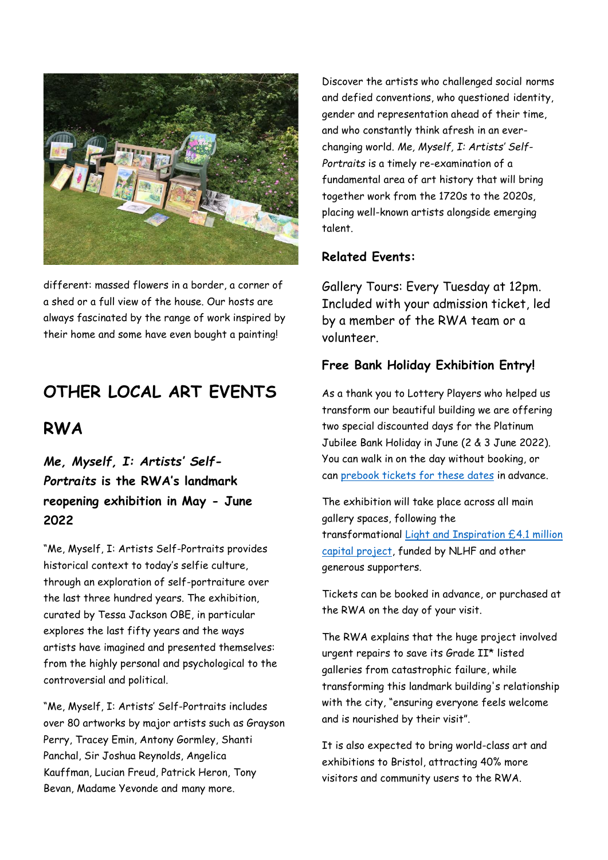

different: massed flowers in a border, a corner of a shed or a full view of the house. Our hosts are always fascinated by the range of work inspired by their home and some have even bought a painting!

# **OTHER LOCAL ART EVENTS**

### **RWA**

*Me, Myself, I: Artists' Self-Portraits* **is the RWA's landmark reopening exhibition in May - June 2022**

"Me, Myself, I: Artists Self-Portraits provides historical context to today's selfie culture, through an exploration of self-portraiture over the last three hundred years. The exhibition, curated by Tessa Jackson OBE, in particular explores the last fifty years and the ways artists have imagined and presented themselves: from the highly personal and psychological to the controversial and political.

"Me, Myself, I: Artists' Self-Portraits includes over 80 artworks by major artists such as Grayson Perry, Tracey Emin, Antony Gormley, Shanti Panchal, Sir Joshua Reynolds, Angelica Kauffman, Lucian Freud, Patrick Heron, Tony Bevan, Madame Yevonde and many more.

Discover the artists who challenged social norms and defied conventions, who questioned identity, gender and representation ahead of their time, and who constantly think afresh in an everchanging world. *Me, Myself, I: Artists' Self-Portraits* is a timely re-examination of a fundamental area of art history that will bring together work from the 1720s to the 2020s, placing well-known artists alongside emerging talent.

### **Related Events:**

Gallery Tours: Every Tuesday at 12pm. Included with your admission ticket, led by a member of the RWA team or a volunteer.

### **Free Bank Holiday Exhibition Entry!**

As a thank you to Lottery Players who helped us transform our beautiful building we are offering two special discounted days for the Platinum Jubilee Bank Holiday in June (2 & 3 June 2022). You can walk in on the day without booking, or can [prebook tickets for these dates](https://www.rwa.org.uk/collections/art-exhibitions/products/free-days-me-myself-i-artists-self-portraits) in advance.

The exhibition will take place across all main gallery spaces, following the transformational [Light and Inspiration £4.1 million](https://www.rwa.org.uk/pages/what-is-the-light-and-inspiration-capital-project)  [capital project,](https://www.rwa.org.uk/pages/what-is-the-light-and-inspiration-capital-project) funded by NLHF and other generous supporters.

Tickets can be booked in advance, or purchased at the RWA on the day of your visit.

The RWA explains that the huge project involved urgent repairs to save its Grade II\* listed galleries from catastrophic failure, while transforming this landmark building's relationship with the city, "ensuring everyone feels welcome and is nourished by their visit".

It is also expected to bring world-class art and exhibitions to Bristol, attracting 40% more visitors and community users to the RWA.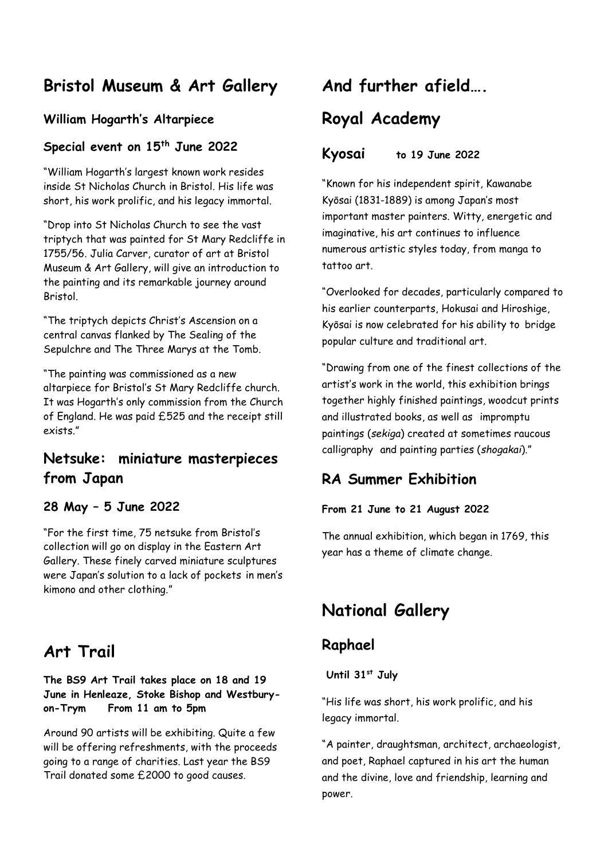## **Bristol Museum & Art Gallery**

### **William Hogarth's Altarpiece**

### **Special event on 15th June 2022**

"William Hogarth's largest known work resides inside St Nicholas Church in Bristol. His life was short, his work prolific, and his legacy immortal.

"Drop into St Nicholas Church to see the vast triptych that was painted for St Mary Redcliffe in 1755/56. Julia Carver, curator of art at Bristol Museum & Art Gallery, will give an introduction to the painting and its remarkable journey around Bristol.

"The triptych depicts Christ's Ascension on a central canvas flanked by The Sealing of the Sepulchre and The Three Marys at the Tomb.

"The painting was commissioned as a new altarpiece for Bristol's St Mary Redcliffe church. It was Hogarth's only commission from the Church of England. He was paid £525 and the receipt still exists."

### **Netsuke: [miniature masterpieces](https://www.bristolmuseums.org.uk/bristol-museum-and-art-gallery/whats-on/netsuke-miniature-masterpieces-from-japan/)  [from Japan](https://www.bristolmuseums.org.uk/bristol-museum-and-art-gallery/whats-on/netsuke-miniature-masterpieces-from-japan/)**

#### **28 May – 5 June 2022**

"For the first time, 75 netsuke from Bristol's collection will go on display in the Eastern Art Gallery. These finely carved miniature sculptures were Japan's solution to a lack of pockets in men's kimono and other clothing."

## **Art Trail**

#### **The BS9 Art Trail takes place on 18 and 19 June in Henleaze, Stoke Bishop and Westburyon-Trym From 11 am to 5pm**

Around 90 artists will be exhibiting. Quite a few will be offering refreshments, with the proceeds going to a range of charities. Last year the BS9 Trail donated some £2000 to good causes.

# **And further afield….**

## **Royal Academy**

### **Kyosai to 19 June 2022**

"Known for his independent spirit, Kawanabe Kyōsai (1831-1889) is among Japan's most important master painters. Witty, energetic and imaginative, his art continues to influence numerous artistic styles today, from manga to tattoo art.

"Overlooked for decades, particularly compared to his earlier counterparts, [Hokusai](https://www.royalacademy.org.uk/art-artists/name/katsushika-hokusai) and [Hiroshige,](https://www.royalacademy.org.uk/art-artists/name/utagawa-hiroshige) Kyōsai is now celebrated for his ability to bridge popular culture and traditional art.

"Drawing from one of the finest collections of the artist's work in the world, this exhibition brings together highly finished paintings, woodcut prints and illustrated books, as well as impromptu paintings (*sekiga*) created at sometimes raucous calligraphy and painting parties (*shogakai*)."

### **RA Summer Exhibition**

#### **From 21 June to 21 August 2022**

The annual exhibition, which began in 1769, this year has a theme of climate change.

## **National Gallery**

### **Raphael**

**Until 31st July**

"His life was short, his work prolific, and his legacy immortal.

"A painter, draughtsman, architect, archaeologist, and poet, Raphael captured in his art the human and the divine, love and friendship, learning and power.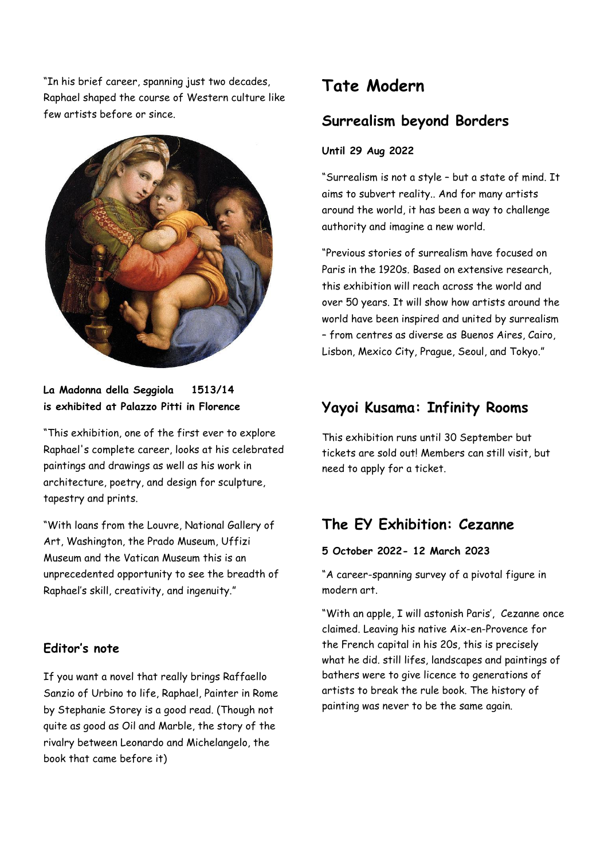"In his brief career, spanning just two decades, Raphael shaped the course of Western culture like few artists before or since.



#### **La Madonna della Seggiola 1513/14 is exhibited at Palazzo Pitti in Florence**

"This exhibition, one of the first ever to explore Raphael's complete career, looks at his celebrated paintings and drawings as well as his work in architecture, poetry, and design for sculpture, tapestry and prints.

"With loans from the Louvre, National Gallery of Art, Washington, the Prado Museum, Uffizi Museum and the Vatican Museum this is an unprecedented opportunity to see the breadth of Raphael's skill, creativity, and ingenuity."

### **Editor's note**

If you want a novel that really brings Raffaello Sanzio of Urbino to life, Raphael, Painter in Rome by Stephanie Storey is a good read. (Though not quite as good as Oil and Marble, the story of the rivalry between Leonardo and Michelangelo, the book that came before it)

## **Tate Modern**

### **Surrealism beyond Borders**

#### **Until 29 Aug 2022**

"[Surrealism](https://www.tate.org.uk/art/art-terms/s/surrealism) is not a style – but a state of mind. It aims to subvert reality.. And for many artists around the world, it has been a way to challenge authority and imagine a new world.

"Previous stories of surrealism have focused on Paris in the 1920s. Based on extensive research, this exhibition will reach across the world and over 50 years. It will show how artists around the world have been inspired and united by surrealism – from centres as diverse as Buenos Aires, Cairo, Lisbon, Mexico City, Prague, Seoul, and Tokyo."

### **Yayoi Kusama: Infinity Rooms**

This exhibition runs until 30 September but tickets are sold out! Members can still visit, but need to apply for a ticket.

### **The EY Exhibition: Cezanne**

#### **5 October 2022- 12 March 2023**

"A career-spanning survey of a pivotal figure in modern art.

"With an apple, I will astonish Paris', Cezanne once claimed. Leaving his native Aix-en-Provence for the French capital in his 20s, this is precisely what he did. still lifes, landscapes and paintings of bathers were to give licence to generations of artists to break the rule book. The history of painting was never to be the same again.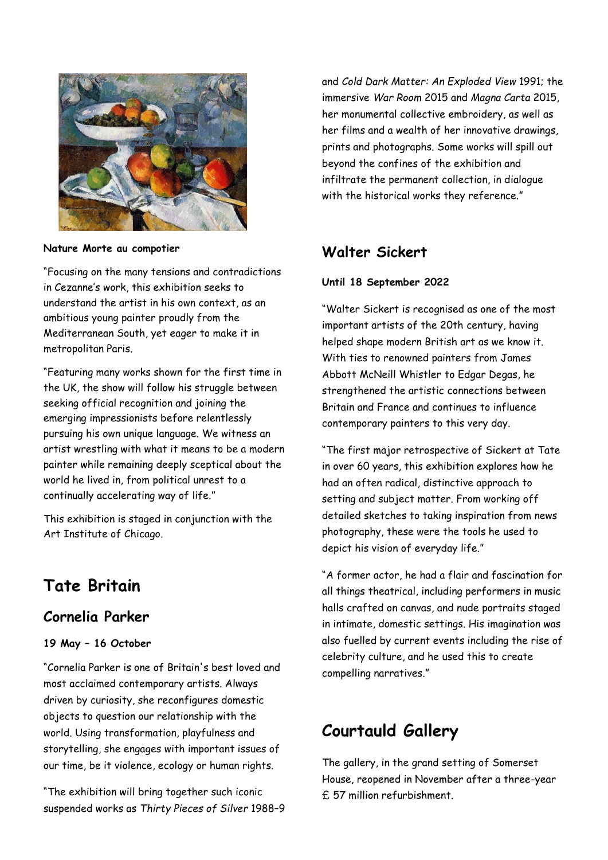

**Nature Morte au compotier**

"Focusing on the many tensions and contradictions in Cezanne's work, this exhibition seeks to understand the artist in his own context, as an ambitious young painter proudly from the Mediterranean South, yet eager to make it in metropolitan Paris.

"Featuring many works shown for the first time in the UK, the show will follow his struggle between seeking official recognition and joining the emerging [impressionists](https://www.tate.org.uk/art/art-terms/i/impressionism) before relentlessly pursuing his own unique language. We witness an artist wrestling with what it means to be a modern painter while remaining deeply sceptical about the world he lived in, from political unrest to a continually accelerating way of life."

This exhibition is staged in conjunction with the Art Institute of Chicago.

# **Tate Britain**

### **Cornelia Parker**

#### **19 May – 16 October**

"[Cornelia Parker](https://www.tate.org.uk/art/artists/cornelia-parker-2358) is one of Britain's best loved and most acclaimed contemporary artists. Always driven by curiosity, she reconfigures domestic objects to question our relationship with the world. Using transformation, playfulness and storytelling, she engages with important issues of our time, be it violence, ecology or human rights.

"The exhibition will bring together such iconic suspended works as *[Thirty Pieces of Silver](https://www.tate.org.uk/art/artworks/parker-thirty-pieces-of-silver-t07461)* 1988–9 and *[Cold Dark Matter: An Exploded View](https://www.tate.org.uk/art/artworks/parker-cold-dark-matter-an-exploded-view-t06949)* 1991; the immersive *War Room* 2015 and *Magna Carta* 2015, her monumental collective embroidery, as well as her films and a wealth of her innovative drawings, prints and photographs. Some works will spill out beyond the confines of the exhibition and infiltrate the permanent collection, in dialogue with the historical works they reference."

### **Walter Sickert**

#### **Until 18 September 2022**

"[Walter Sickert](https://www.tate.org.uk/art/artists/walter-richard-sickert-1941) is recognised as one of the most important artists of the 20th century, having helped shape modern British art as we know it. With ties to renowned painters from [James](https://www.tate.org.uk/art/artists/james-abbott-mcneill-whistler-598)  [Abbott McNeill Whistler](https://www.tate.org.uk/art/artists/james-abbott-mcneill-whistler-598) to [Edgar Degas,](https://www.tate.org.uk/art/artists/edgar-degas-988) he strengthened the artistic connections between Britain and France and continues to influence contemporary painters to this very day.

"The first major retrospective of Sickert at Tate in over 60 years, this exhibition explores how he had an often radical, distinctive approach to setting and subject matter. From working off detailed sketches to taking inspiration from news photography, these were the tools he used to depict his vision of everyday life."

"A former actor, he had a flair and fascination for all things theatrical, including performers in music halls crafted on canvas, and nude portraits staged in intimate, domestic settings. His imagination was also fuelled by current events including the rise of celebrity culture, and he used this to create compelling narratives."

# **Courtauld Gallery**

The gallery, in the grand setting of Somerset House, reopened in November after a three-year £ 57 million refurbishment.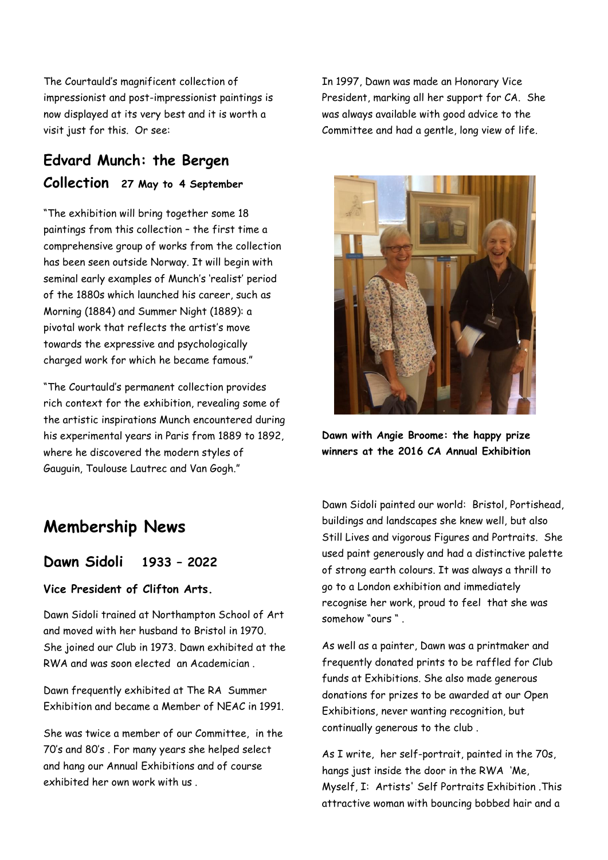The Courtauld's magnificent collection of impressionist and post-impressionist paintings is now displayed at its very best and it is worth a visit just for this. Or see:

### **Edvard Munch: the Bergen Collection 27 May to 4 September**

"The exhibition will bring together some 18 paintings from this collection – the first time a comprehensive group of works from the collection has been seen outside Norway. It will begin with seminal early examples of Munch's 'realist' period of the 1880s which launched his career, such as Morning (1884) and Summer Night (1889): a pivotal work that reflects the artist's move towards the expressive and psychologically charged work for which he became famous."

"The Courtauld's permanent collection provides rich context for the exhibition, revealing some of the artistic inspirations Munch encountered during his experimental years in Paris from 1889 to 1892, where he discovered the modern styles of Gauguin, Toulouse Lautrec and Van Gogh."

In 1997, Dawn was made an Honorary Vice President, marking all her support for CA. She was always available with good advice to the Committee and had a gentle, long view of life.



**Dawn with Angie Broome: the happy prize winners at the 2016 CA Annual Exhibition**

## **Membership News**

**Dawn Sidoli 1933 – 2022**

#### **Vice President of Clifton Arts.**

Dawn Sidoli trained at Northampton School of Art and moved with her husband to Bristol in 1970. She joined our Club in 1973. Dawn exhibited at the RWA and was soon elected an Academician .

Dawn frequently exhibited at The RA Summer Exhibition and became a Member of NEAC in 1991.

She was twice a member of our Committee, in the 70's and 80's . For many years she helped select and hang our Annual Exhibitions and of course exhibited her own work with us .

Dawn Sidoli painted our world: Bristol, Portishead, buildings and landscapes she knew well, but also Still Lives and vigorous Figures and Portraits. She used paint generously and had a distinctive palette of strong earth colours. It was always a thrill to go to a London exhibition and immediately recognise her work, proud to feel that she was somehow "ours " .

As well as a painter, Dawn was a printmaker and frequently donated prints to be raffled for Club funds at Exhibitions. She also made generous donations for prizes to be awarded at our Open Exhibitions, never wanting recognition, but continually generous to the club .

As I write, her self-portrait, painted in the 70s, hangs just inside the door in the RWA 'Me, Myself, I: Artists' Self Portraits Exhibition .This attractive woman with bouncing bobbed hair and a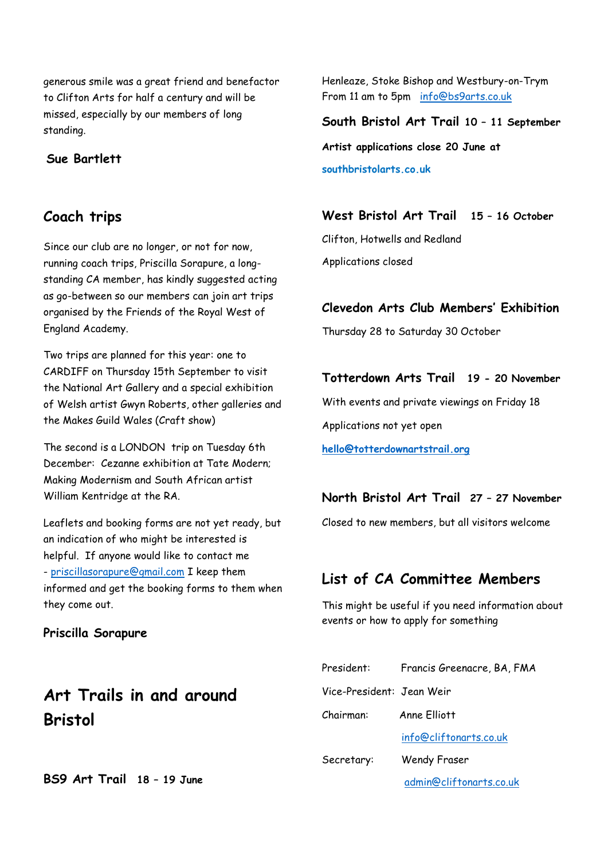generous smile was a great friend and benefactor to Clifton Arts for half a century and will be missed, especially by our members of long standing.

#### **Sue Bartlett**

### **Coach trips**

Since our club are no longer, or not for now, running coach trips, Priscilla Sorapure, a longstanding CA member, has kindly suggested acting as go-between so our members can join art trips organised by the Friends of the Royal West of England Academy.

Two trips are planned for this year: one to CARDIFF on Thursday 15th September to visit the National Art Gallery and a special exhibition of Welsh artist Gwyn Roberts, other galleries and the Makes Guild Wales (Craft show)

The second is a LONDON trip on Tuesday 6th December: Cezanne exhibition at Tate Modern; Making Modernism and South African artist William Kentridge at the RA.

Leaflets and booking forms are not yet ready, but an indication of who might be interested is helpful. If anyone would like to contact me - [priscillasorapure@gmail.com](mailto:priscillasorapure@gmail.com) I keep them informed and get the booking forms to them when they come out.

#### **Priscilla Sorapure**

## **Art Trails in and around Bristol**

**BS9 Art Trail 18 – 19 June**

Henleaze, Stoke Bishop and Westbury-on-Trym From 11 am to 5pm [info@bs9arts.co.uk](mailto:info@bs9arts.co.uk)

**South Bristol Art Trail 10 – 11 September Artist applications close 20 June at southbristolarts.co.uk**

**West Bristol Art Trail 15 – 16 October**

Clifton, Hotwells and Redland Applications closed

#### **Clevedon Arts Club Members' Exhibition**

Thursday 28 to Saturday 30 October

#### **Totterdown Arts Trail 19 - 20 November**

With events and private viewings on Friday 18 Applications not yet open

**[hello@totterdownartstrail.org](mailto:hello@totterdownartstrail.org)**

#### **North Bristol Art Trail 27 – 27 November**

Closed to new members, but all visitors welcome

### **List of CA Committee Members**

This might be useful if you need information about events or how to apply for something

| President:                | Francis Greenacre, BA, FMA |
|---------------------------|----------------------------|
| Vice-President: Jean Weir |                            |
| Chairman:                 | Anne Flliott               |
|                           | info@cliftonarts.co.uk     |
| Secretary:                | <b>Wendy Fraser</b>        |
|                           | admin@cliftonarts.co.uk    |